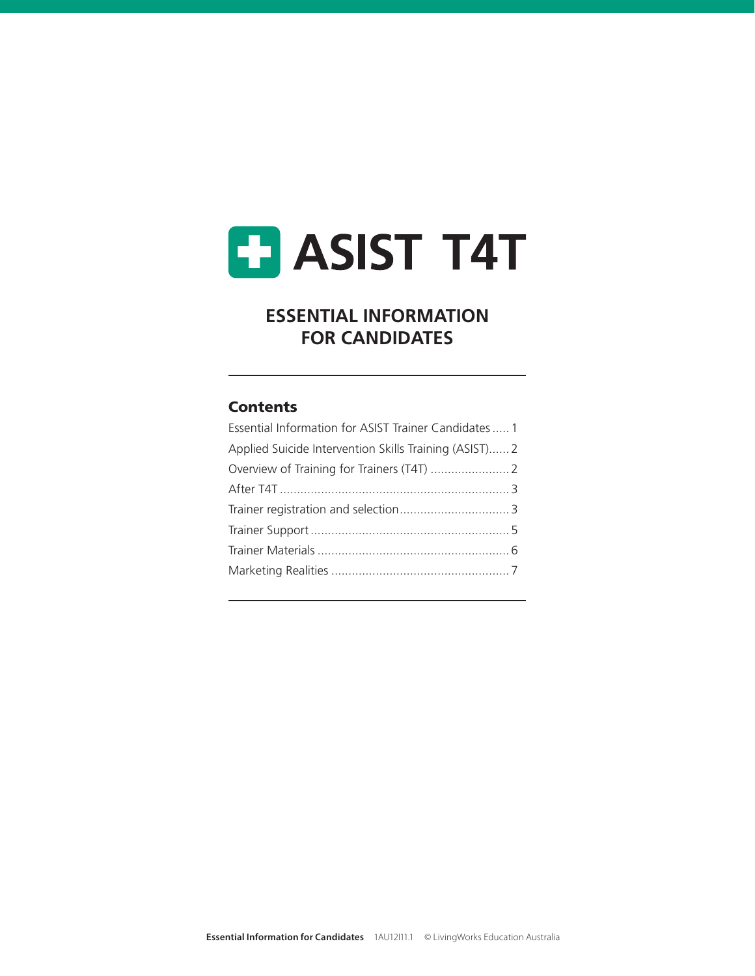# **ET ASIST T4T**

## **ESSENTIAL INFORMATION FOR CANDIDATES**

#### **Contents**

| Essential Information for ASIST Trainer Candidates  1  |  |
|--------------------------------------------------------|--|
| Applied Suicide Intervention Skills Training (ASIST) 2 |  |
|                                                        |  |
|                                                        |  |
|                                                        |  |
|                                                        |  |
|                                                        |  |
|                                                        |  |
|                                                        |  |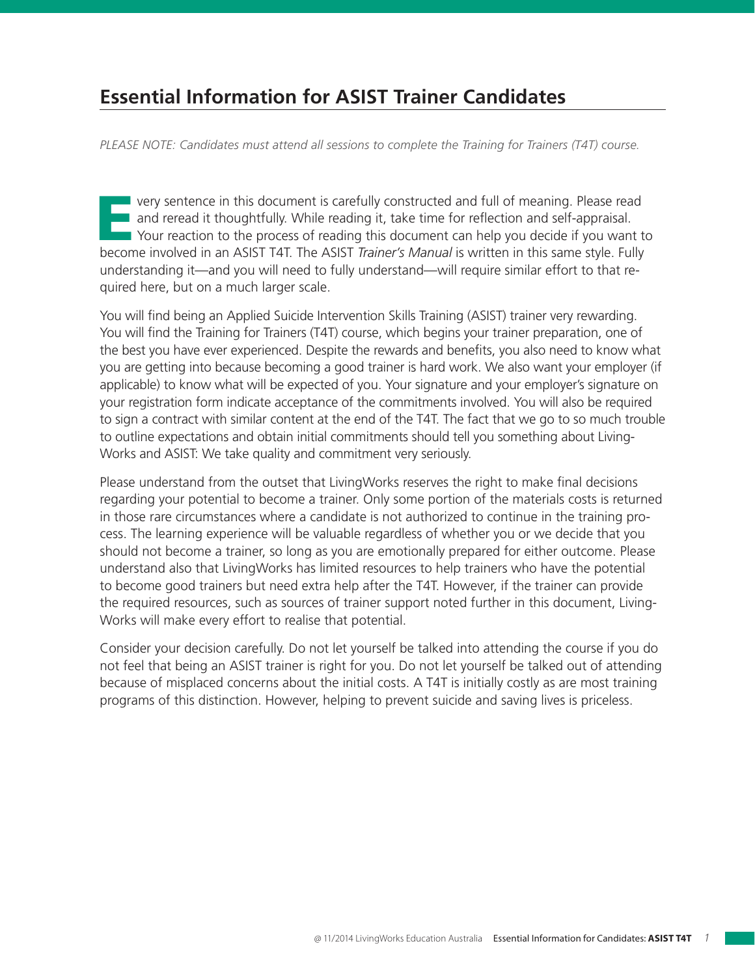# **Essential Information for ASIST Trainer Candidates**

*PLEASE NOTE: Candidates must attend all sessions to complete the Training for Trainers (T4T) course.*

The very sentence in this document is carefully constructed and full of meaning. Please read<br>and reread it thoughtfully. While reading it, take time for reflection and self-appraisal.<br>Your reaction to the process of readin and reread it thoughtfully. While reading it, take time for reflection and self-appraisal. Your reaction to the process of reading this document can help you decide if you want to become involved in an ASIST T4T. The ASIST *Trainer's Manual* is written in this same style. Fully understanding it—and you will need to fully understand—will require similar effort to that required here, but on a much larger scale.

You will find being an Applied Suicide Intervention Skills Training (ASIST) trainer very rewarding. You will find the Training for Trainers (T4T) course, which begins your trainer preparation, one of the best you have ever experienced. Despite the rewards and benefits, you also need to know what you are getting into because becoming a good trainer is hard work. We also want your employer (if applicable) to know what will be expected of you. Your signature and your employer's signature on your registration form indicate acceptance of the commitments involved. You will also be required to sign a contract with similar content at the end of the T4T. The fact that we go to so much trouble to outline expectations and obtain initial commitments should tell you something about Living-Works and ASIST: We take quality and commitment very seriously.

Please understand from the outset that LivingWorks reserves the right to make final decisions regarding your potential to become a trainer. Only some portion of the materials costs is returned in those rare circumstances where a candidate is not authorized to continue in the training process. The learning experience will be valuable regardless of whether you or we decide that you should not become a trainer, so long as you are emotionally prepared for either outcome. Please understand also that LivingWorks has limited resources to help trainers who have the potential to become good trainers but need extra help after the T4T. However, if the trainer can provide the required resources, such as sources of trainer support noted further in this document, Living-Works will make every effort to realise that potential.

Consider your decision carefully. Do not let yourself be talked into attending the course if you do not feel that being an ASIST trainer is right for you. Do not let yourself be talked out of attending because of misplaced concerns about the initial costs. A T4T is initially costly as are most training programs of this distinction. However, helping to prevent suicide and saving lives is priceless.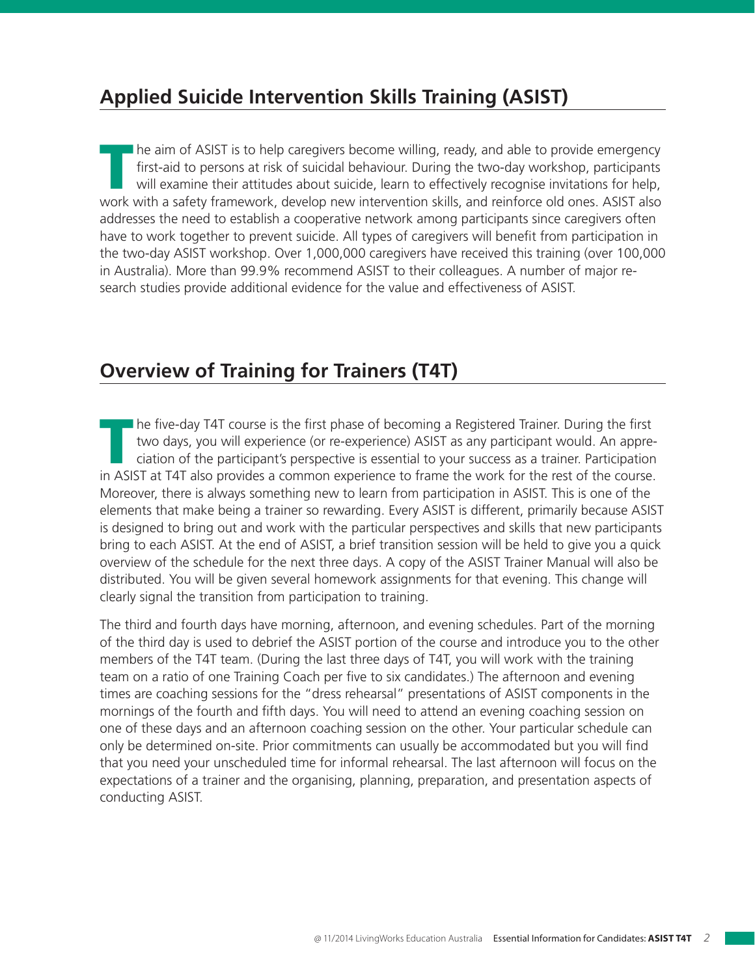# **Applied Suicide Intervention Skills Training (ASIST)**

The aim of ASIST is to help caregivers become willing, ready, and able to provide emergency<br>first-aid to persons at risk of suicidal behaviour. During the two-day workshop, participants<br>will examine their attitudes about s first-aid to persons at risk of suicidal behaviour. During the two-day workshop, participants will examine their attitudes about suicide, learn to effectively recognise invitations for help, work with a safety framework, develop new intervention skills, and reinforce old ones. ASIST also addresses the need to establish a cooperative network among participants since caregivers often have to work together to prevent suicide. All types of caregivers will benefit from participation in the two-day ASIST workshop. Over 1,000,000 caregivers have received this training (over 100,000 in Australia). More than 99.9% recommend ASIST to their colleagues. A number of major research studies provide additional evidence for the value and effectiveness of ASIST.

### **Overview of Training for Trainers (T4T)**

The five-day T4T course is the first phase of becoming a Registered Trainer. During the first<br>two days, you will experience (or re-experience) ASIST as any participant would. An appre-<br>ciation of the participant's perspect two days, you will experience (or re-experience) ASIST as any participant would. An appreciation of the participant's perspective is essential to your success as a trainer. Participation in ASIST at T4T also provides a common experience to frame the work for the rest of the course. Moreover, there is always something new to learn from participation in ASIST. This is one of the elements that make being a trainer so rewarding. Every ASIST is different, primarily because ASIST is designed to bring out and work with the particular perspectives and skills that new participants bring to each ASIST. At the end of ASIST, a brief transition session will be held to give you a quick overview of the schedule for the next three days. A copy of the ASIST Trainer Manual will also be distributed. You will be given several homework assignments for that evening. This change will clearly signal the transition from participation to training.

The third and fourth days have morning, afternoon, and evening schedules. Part of the morning of the third day is used to debrief the ASIST portion of the course and introduce you to the other members of the T4T team. (During the last three days of T4T, you will work with the training team on a ratio of one Training Coach per five to six candidates.) The afternoon and evening times are coaching sessions for the "dress rehearsal" presentations of ASIST components in the mornings of the fourth and fifth days. You will need to attend an evening coaching session on one of these days and an afternoon coaching session on the other. Your particular schedule can only be determined on-site. Prior commitments can usually be accommodated but you will find that you need your unscheduled time for informal rehearsal. The last afternoon will focus on the expectations of a trainer and the organising, planning, preparation, and presentation aspects of conducting ASIST.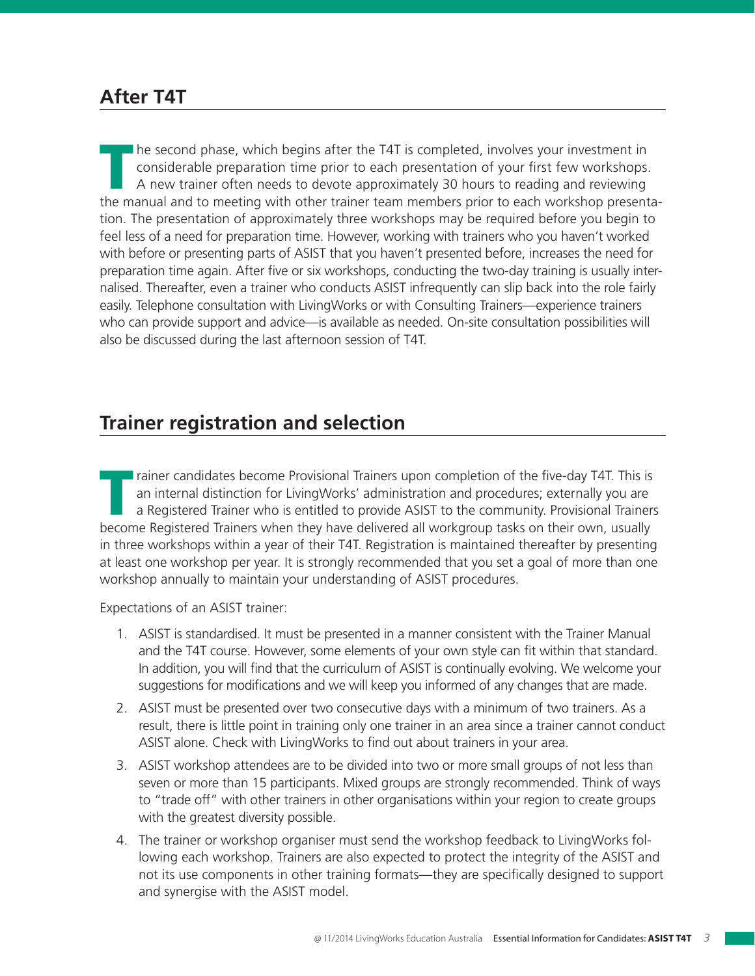#### **After T4T**

The second phase, which begins after the T4T is completed, involves your investment in<br>considerable preparation time prior to each presentation of your first few workshops.<br>A new trainer often needs to devote approximately considerable preparation time prior to each presentation of your first few workshops. A new trainer often needs to devote approximately 30 hours to reading and reviewing the manual and to meeting with other trainer team members prior to each workshop presentation. The presentation of approximately three workshops may be required before you begin to feel less of a need for preparation time. However, working with trainers who you haven't worked with before or presenting parts of ASIST that you haven't presented before, increases the need for preparation time again. After five or six workshops, conducting the two-day training is usually internalised. Thereafter, even a trainer who conducts ASIST infrequently can slip back into the role fairly easily. Telephone consultation with LivingWorks or with Consulting Trainers—experience trainers who can provide support and advice—is available as needed. On-site consultation possibilities will also be discussed during the last afternoon session of T4T.

## **Trainer registration and selection**

Trainer candidates become Provisional Trainers upon completion of the five-day T4T. This is<br>an internal distinction for LivingWorks' administration and procedures; externally you are<br>a Registered Trainer who is entitled to an internal distinction for LivingWorks' administration and procedures; externally you are a Registered Trainer who is entitled to provide ASIST to the community. Provisional Trainers become Registered Trainers when they have delivered all workgroup tasks on their own, usually in three workshops within a year of their T4T. Registration is maintained thereafter by presenting at least one workshop per year. It is strongly recommended that you set a goal of more than one workshop annually to maintain your understanding of ASIST procedures.

Expectations of an ASIST trainer:

- 1. ASIST is standardised. It must be presented in a manner consistent with the Trainer Manual and the T4T course. However, some elements of your own style can fit within that standard. In addition, you will find that the curriculum of ASIST is continually evolving. We welcome your suggestions for modifications and we will keep you informed of any changes that are made.
- 2. ASIST must be presented over two consecutive days with a minimum of two trainers. As a result, there is little point in training only one trainer in an area since a trainer cannot conduct ASIST alone. Check with LivingWorks to find out about trainers in your area.
- 3. ASIST workshop attendees are to be divided into two or more small groups of not less than seven or more than 15 participants. Mixed groups are strongly recommended. Think of ways to "trade off" with other trainers in other organisations within your region to create groups with the greatest diversity possible.
- 4. The trainer or workshop organiser must send the workshop feedback to LivingWorks following each workshop. Trainers are also expected to protect the integrity of the ASIST and not its use components in other training formats—they are specifically designed to support and synergise with the ASIST model.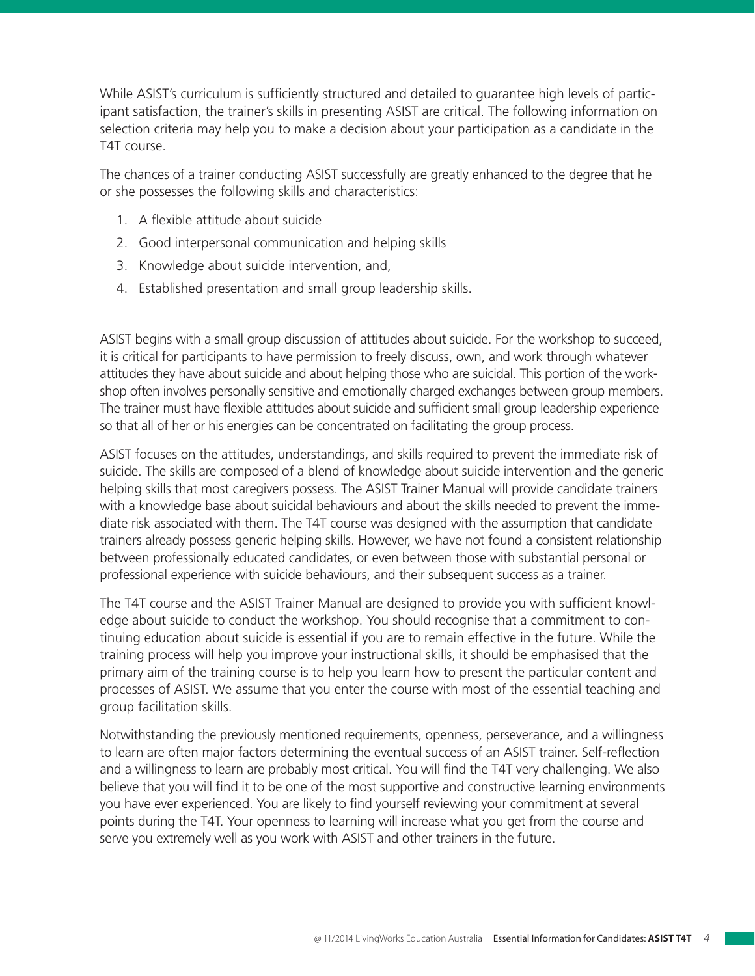While ASIST's curriculum is sufficiently structured and detailed to guarantee high levels of participant satisfaction, the trainer's skills in presenting ASIST are critical. The following information on selection criteria may help you to make a decision about your participation as a candidate in the T4T course.

The chances of a trainer conducting ASIST successfully are greatly enhanced to the degree that he or she possesses the following skills and characteristics:

- 1. A flexible attitude about suicide
- 2. Good interpersonal communication and helping skills
- 3. Knowledge about suicide intervention, and,
- 4. Established presentation and small group leadership skills.

ASIST begins with a small group discussion of attitudes about suicide. For the workshop to succeed, it is critical for participants to have permission to freely discuss, own, and work through whatever attitudes they have about suicide and about helping those who are suicidal. This portion of the workshop often involves personally sensitive and emotionally charged exchanges between group members. The trainer must have flexible attitudes about suicide and sufficient small group leadership experience so that all of her or his energies can be concentrated on facilitating the group process.

ASIST focuses on the attitudes, understandings, and skills required to prevent the immediate risk of suicide. The skills are composed of a blend of knowledge about suicide intervention and the generic helping skills that most caregivers possess. The ASIST Trainer Manual will provide candidate trainers with a knowledge base about suicidal behaviours and about the skills needed to prevent the immediate risk associated with them. The T4T course was designed with the assumption that candidate trainers already possess generic helping skills. However, we have not found a consistent relationship between professionally educated candidates, or even between those with substantial personal or professional experience with suicide behaviours, and their subsequent success as a trainer.

The T4T course and the ASIST Trainer Manual are designed to provide you with sufficient knowledge about suicide to conduct the workshop. You should recognise that a commitment to continuing education about suicide is essential if you are to remain effective in the future. While the training process will help you improve your instructional skills, it should be emphasised that the primary aim of the training course is to help you learn how to present the particular content and processes of ASIST. We assume that you enter the course with most of the essential teaching and group facilitation skills.

Notwithstanding the previously mentioned requirements, openness, perseverance, and a willingness to learn are often major factors determining the eventual success of an ASIST trainer. Self-reflection and a willingness to learn are probably most critical. You will find the T4T very challenging. We also believe that you will find it to be one of the most supportive and constructive learning environments you have ever experienced. You are likely to find yourself reviewing your commitment at several points during the T4T. Your openness to learning will increase what you get from the course and serve you extremely well as you work with ASIST and other trainers in the future.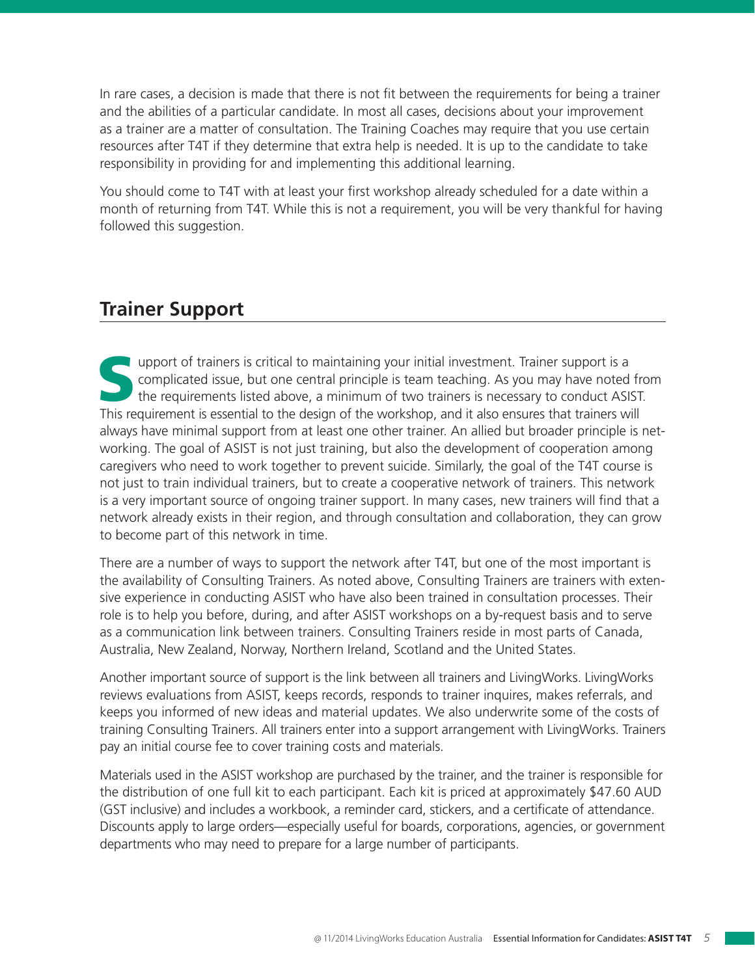In rare cases, a decision is made that there is not fit between the requirements for being a trainer and the abilities of a particular candidate. In most all cases, decisions about your improvement as a trainer are a matter of consultation. The Training Coaches may require that you use certain resources after T4T if they determine that extra help is needed. It is up to the candidate to take responsibility in providing for and implementing this additional learning.

You should come to T4T with at least your first workshop already scheduled for a date within a month of returning from T4T. While this is not a requirement, you will be very thankful for having followed this suggestion.

## **Trainer Support**

upport of trainers is critical to maintaining your initial investment. Trainer support is a complicated issue, but one central principle is team teaching. As you may have noted from the requirements listed above, a minimum of two trainers is necessary to conduct ASIST. This requirement is essential to the design of the workshop, and it also ensures that trainers will always have minimal support from at least one other trainer. An allied but broader principle is networking. The goal of ASIST is not just training, but also the development of cooperation among caregivers who need to work together to prevent suicide. Similarly, the goal of the T4T course is not just to train individual trainers, but to create a cooperative network of trainers. This network is a very important source of ongoing trainer support. In many cases, new trainers will find that a network already exists in their region, and through consultation and collaboration, they can grow to become part of this network in time.

There are a number of ways to support the network after T4T, but one of the most important is the availability of Consulting Trainers. As noted above, Consulting Trainers are trainers with extensive experience in conducting ASIST who have also been trained in consultation processes. Their role is to help you before, during, and after ASIST workshops on a by-request basis and to serve as a communication link between trainers. Consulting Trainers reside in most parts of Canada, Australia, New Zealand, Norway, Northern Ireland, Scotland and the United States.

Another important source of support is the link between all trainers and LivingWorks. LivingWorks reviews evaluations from ASIST, keeps records, responds to trainer inquires, makes referrals, and keeps you informed of new ideas and material updates. We also underwrite some of the costs of training Consulting Trainers. All trainers enter into a support arrangement with LivingWorks. Trainers pay an initial course fee to cover training costs and materials.

Materials used in the ASIST workshop are purchased by the trainer, and the trainer is responsible for the distribution of one full kit to each participant. Each kit is priced at approximately \$47.60 AUD (GST inclusive) and includes a workbook, a reminder card, stickers, and a certificate of attendance. Discounts apply to large orders—especially useful for boards, corporations, agencies, or government departments who may need to prepare for a large number of participants.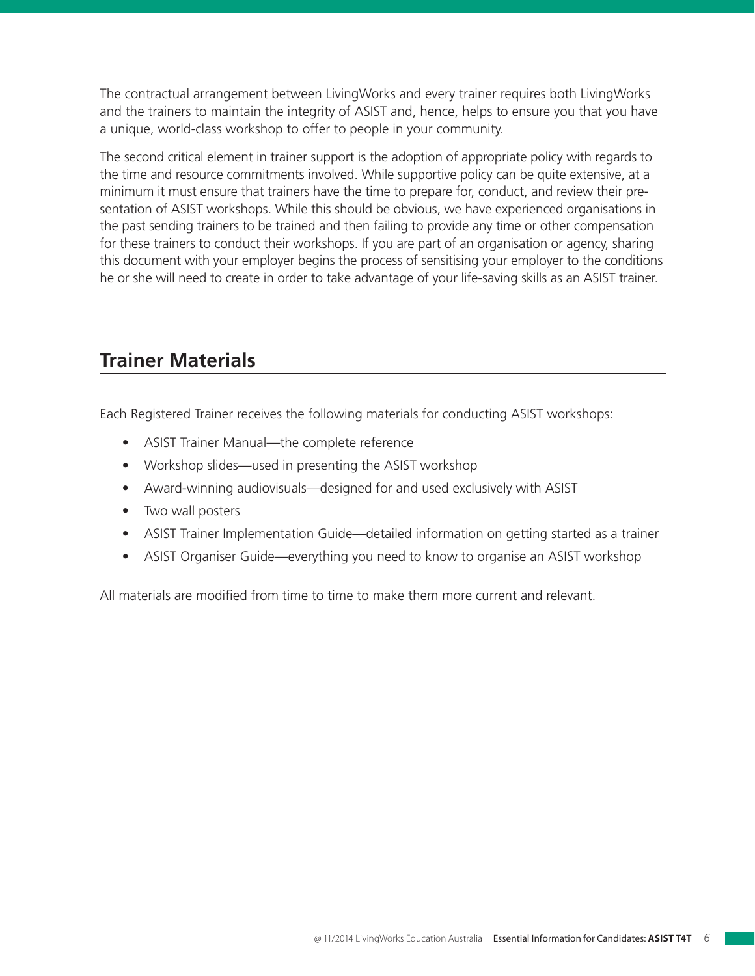The contractual arrangement between LivingWorks and every trainer requires both LivingWorks and the trainers to maintain the integrity of ASIST and, hence, helps to ensure you that you have a unique, world-class workshop to offer to people in your community.

The second critical element in trainer support is the adoption of appropriate policy with regards to the time and resource commitments involved. While supportive policy can be quite extensive, at a minimum it must ensure that trainers have the time to prepare for, conduct, and review their presentation of ASIST workshops. While this should be obvious, we have experienced organisations in the past sending trainers to be trained and then failing to provide any time or other compensation for these trainers to conduct their workshops. If you are part of an organisation or agency, sharing this document with your employer begins the process of sensitising your employer to the conditions he or she will need to create in order to take advantage of your life-saving skills as an ASIST trainer.

# **Trainer Materials**

Each Registered Trainer receives the following materials for conducting ASIST workshops:

- ASIST Trainer Manual—the complete reference
- Workshop slides—used in presenting the ASIST workshop
- Award-winning audiovisuals—designed for and used exclusively with ASIST
- Two wall posters
- ASIST Trainer Implementation Guide—detailed information on getting started as a trainer
- ASIST Organiser Guide—everything you need to know to organise an ASIST workshop

All materials are modified from time to time to make them more current and relevant.